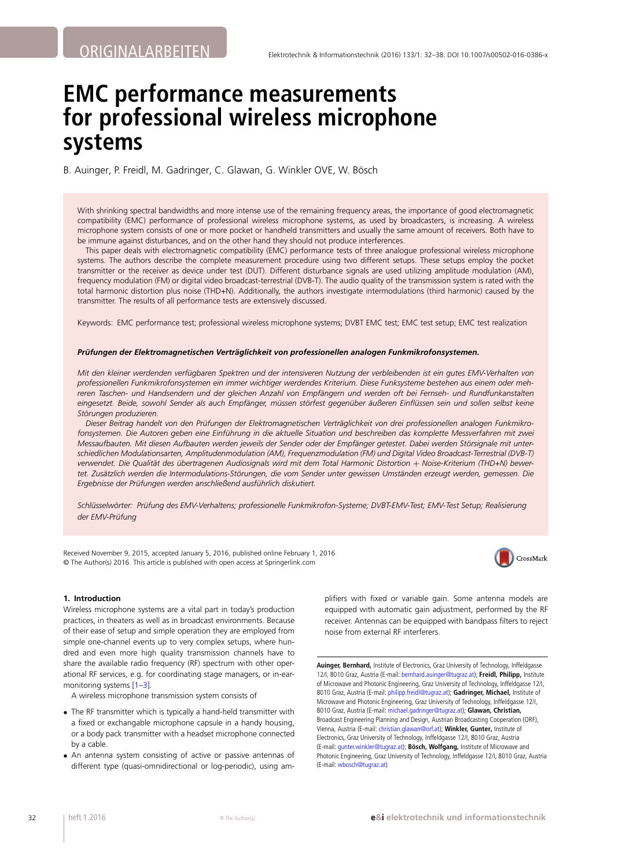# **EMC performance measurements for professional wireless microphone systems**

B. Auinger, P. Freidl, M. Gadringer, C. Glawan, G. Winkler OVE, W. Bösch

With shrinking spectral bandwidths and more intense use of the remaining frequency areas, the importance of good electromagnetic compatibility (EMC) performance of professional wireless microphone systems, as used by broadcasters, is increasing. A wireless microphone system consists of one or more pocket or handheld transmitters and usually the same amount of receivers. Both have to be immune against disturbances, and on the other hand they should not produce interferences.

This paper deals with electromagnetic compatibility (EMC) performance tests of three analogue professional wireless microphone systems. The authors describe the complete measurement procedure using two different setups. These setups employ the pocket transmitter or the receiver as device under test (DUT). Different disturbance signals are used utilizing amplitude modulation (AM), frequency modulation (FM) or digital video broadcast-terrestrial (DVB-T). The audio quality of the transmission system is rated with the total harmonic distortion plus noise (THD+N). Additionally, the authors investigate intermodulations (third harmonic) caused by the transmitter. The results of all performance tests are extensively discussed.

Keywords: EMC performance test; professional wireless microphone systems; DVBT EMC test; EMC test setup; EMC test realization

# *Prüfungen der Elektromagnetischen Verträglichkeit von professionellen analogen Funkmikrofonsystemen.*

*Mit den kleiner werdenden verfügbaren Spektren und der intensiveren Nutzung der verbleibenden ist ein gutes EMV-Verhalten von professionellen Funkmikrofonsystemen ein immer wichtiger werdendes Kriterium. Diese Funksysteme bestehen aus einem oder mehreren Taschen- und Handsendern und der gleichen Anzahl von Empfängern und werden oft bei Fernseh- und Rundfunkanstalten eingesetzt. Beide, sowohl Sender als auch Empfänger, müssen störfest gegenüber äußeren Einflüssen sein und sollen selbst keine Störungen produzieren.*

*Dieser Beitrag handelt von den Prüfungen der Elektromagnetischen Verträglichkeit von drei professionellen analogen Funkmikrofonsystemen. Die Autoren geben eine Einführung in die aktuelle Situation und beschreiben das komplette Messverfahren mit zwei Messaufbauten. Mit diesen Aufbauten werden jeweils der Sender oder der Empfänger getestet. Dabei werden Störsignale mit unterschiedlichen Modulationsarten, Amplitudenmodulation (AM), Frequenzmodulation (FM) und Digital Video Broadcast-Terrestrial (DVB-T) verwendet. Die Qualität des übertragenen Audiosignals wird mit dem Total Harmonic Distortion* + *Noise-Kriterium (THD+N) bewertet. Zusätzlich werden die Intermodulations-Störungen, die vom Sender unter gewissen Umständen erzeugt werden, gemessen. Die Ergebnisse der Prüfungen werden anschließend ausführlich diskutiert.*

*Schlüsselwörter: Prüfung des EMV-Verhaltens; professionelle Funkmikrofon-Systeme; DVBT-EMV-Test; EMV-Test Setup; Realisierung der EMV-Prüfung*

Received November 9, 2015, accepted January 5, 2016, published online February 1, 2016 © The Author(s) 2016. This article is published with open access at Springerlink.com



# **1. Introduction**

Wireless microphone systems are a vital part in today's production practices, in theaters as well as in broadcast environments. Because of their ease of setup and simple operation they are employed from simple one-channel events up to very complex setups, where hundred and even more high quality transmission channels have to share the available radio frequency (RF) spectrum with other operational RF services, e.g. for coordinating stage managers, or in-earmonitoring systems [\[1–](#page-5-0)[3](#page-5-1)].

A wireless microphone transmission system consists of

- The RF transmitter which is typically a hand-held transmitter with a fixed or exchangable microphone capsule in a handy housing, or a body pack transmitter with a headset microphone connected by a cable.
- An antenna system consisting of active or passive antennas of different type (quasi-omnidirectional or log-periodic), using am-

plifiers with fixed or variable gain. Some antenna models are equipped with automatic gain adjustment, performed by the RF receiver. Antennas can be equipped with bandpass filters to reject noise from external RF interferers.

**Auinger, Bernhard,** Institute of Electronics, Graz University of Technology, Inffeldgasse 12/I, 8010 Graz, Austria (E-mail: [bernhard.auinger@tugraz.at\)](mailto:bernhard.auinger@tugraz.at); **Freidl, Philipp,** Institute of Microwave and Photonic Engineering, Graz University of Technology, Inffeldgasse 12/I, 8010 Graz, Austria (E-mail: [philipp.freidl@tugraz.at](mailto:philipp.freidl@tugraz.at)); **Gadringer, Michael,** Institute of Microwave and Photonic Engineering, Graz University of Technology, Inffeldgasse 12/I, 8010 Graz, Austria (E-mail: [michael.gadringer@tugraz.at](mailto:michael.gadringer@tugraz.at)); **Glawan, Christian,** Broadcast Engineering Planning and Design, Austrian Broadcasting Cooperation (ORF), Vienna, Austria (E-mail: [christian.glawan@orf.at\)](mailto:christian.glawan@orf.at); **Winkler, Gunter,** Institute of Electronics, Graz University of Technology, Inffeldgasse 12/I, 8010 Graz, Austria (E-mail: [gunter.winkler@tugraz.at](mailto:gunter.winkler@tugraz.at)); **Bösch, Wolfgang,** Institute of Microwave and Photonic Engineering, Graz University of Technology, Inffeldgasse 12/I, 8010 Graz, Austria (E-mail: [wbosch@tugraz.at](mailto:wbosch@tugraz.at))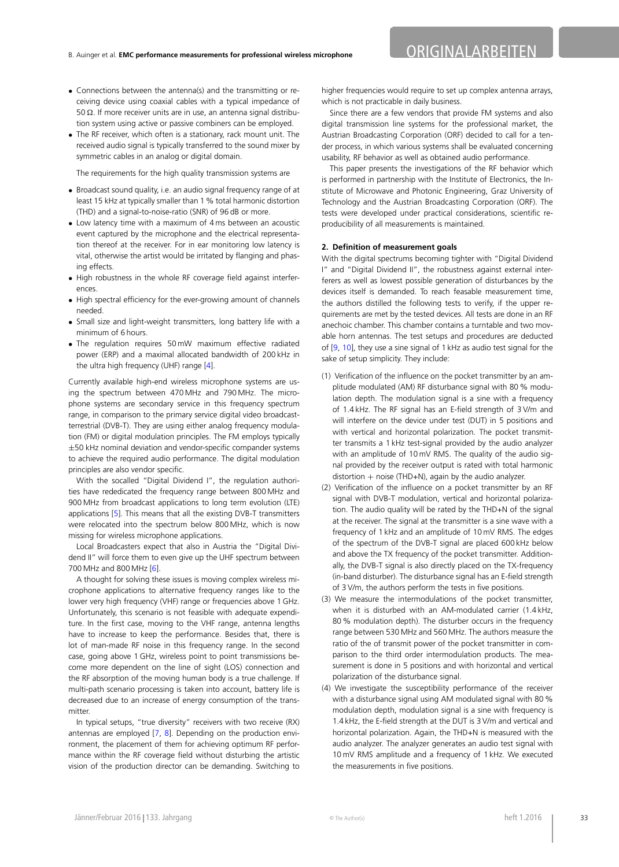- Connections between the antenna(s) and the transmitting or receiving device using coaxial cables with a typical impedance of 50 Ω. If more receiver units are in use, an antenna signal distribution system using active or passive combiners can be employed.
- The RF receiver, which often is a stationary, rack mount unit. The received audio signal is typically transferred to the sound mixer by symmetric cables in an analog or digital domain.

The requirements for the high quality transmission systems are

- Broadcast sound quality, i.e. an audio signal frequency range of at least 15 kHz at typically smaller than 1 % total harmonic distortion (THD) and a signal-to-noise-ratio (SNR) of 96 dB or more.
- Low latency time with a maximum of 4 ms between an acoustic event captured by the microphone and the electrical representation thereof at the receiver. For in ear monitoring low latency is vital, otherwise the artist would be irritated by flanging and phasing effects.
- High robustness in the whole RF coverage field against interferences.
- High spectral efficiency for the ever-growing amount of channels needed.
- Small size and light-weight transmitters, long battery life with a minimum of 6 hours.
- The regulation requires 50 mW maximum effective radiated power (ERP) and a maximal allocated bandwidth of 200 kHz in the ultra high frequency (UHF) range [\[4\]](#page-5-2).

Currently available high-end wireless microphone systems are using the spectrum between 470 MHz and 790 MHz. The microphone systems are secondary service in this frequency spectrum range, in comparison to the primary service digital video broadcastterrestrial (DVB-T). They are using either analog frequency modulation (FM) or digital modulation principles. The FM employs typically ±50 kHz nominal deviation and vendor-specific compander systems to achieve the required audio performance. The digital modulation principles are also vendor specific.

With the socalled "Digital Dividend I", the regulation authorities have rededicated the frequency range between 800 MHz and 900 MHz from broadcast applications to long term evolution (LTE) applications [[5](#page-5-3)]. This means that all the existing DVB-T transmitters were relocated into the spectrum below 800 MHz, which is now missing for wireless microphone applications.

Local Broadcasters expect that also in Austria the "Digital Dividend II" will force them to even give up the UHF spectrum between 700 MHz and 800 MHz [[6](#page-5-4)].

A thought for solving these issues is moving complex wireless microphone applications to alternative frequency ranges like to the lower very high frequency (VHF) range or frequencies above 1 GHz. Unfortunately, this scenario is not feasible with adequate expenditure. In the first case, moving to the VHF range, antenna lengths have to increase to keep the performance. Besides that, there is lot of man-made RF noise in this frequency range. In the second case, going above 1 GHz, wireless point to point transmissions become more dependent on the line of sight (LOS) connection and the RF absorption of the moving human body is a true challenge. If multi-path scenario processing is taken into account, battery life is decreased due to an increase of energy consumption of the transmitter.

In typical setups, "true diversity" receivers with two receive (RX) antennas are employed [\[7,](#page-5-5) [8](#page-5-6)]. Depending on the production environment, the placement of them for achieving optimum RF performance within the RF coverage field without disturbing the artistic vision of the production director can be demanding. Switching to higher frequencies would require to set up complex antenna arrays, which is not practicable in daily business.

Since there are a few vendors that provide FM systems and also digital transmission line systems for the professional market, the Austrian Broadcasting Corporation (ORF) decided to call for a tender process, in which various systems shall be evaluated concerning usability, RF behavior as well as obtained audio performance.

This paper presents the investigations of the RF behavior which is performed in partnership with the Institute of Electronics, the Institute of Microwave and Photonic Engineering, Graz University of Technology and the Austrian Broadcasting Corporation (ORF). The tests were developed under practical considerations, scientific reproducibility of all measurements is maintained.

# **2. Definition of measurement goals**

With the digital spectrums becoming tighter with "Digital Dividend I" and "Digital Dividend II", the robustness against external interferers as well as lowest possible generation of disturbances by the devices itself is demanded. To reach feasable measurement time, the authors distilled the following tests to verify, if the upper requirements are met by the tested devices. All tests are done in an RF anechoic chamber. This chamber contains a turntable and two movable horn antennas. The test setups and procedures are deducted of [\[9,](#page-5-7) [10\]](#page-5-8), they use a sine signal of 1 kHz as audio test signal for the sake of setup simplicity. They include:

- (1) Verification of the influence on the pocket transmitter by an amplitude modulated (AM) RF disturbance signal with 80 % modulation depth. The modulation signal is a sine with a frequency of 1.4 kHz. The RF signal has an E-field strength of 3 V/m and will interfere on the device under test (DUT) in 5 positions and with vertical and horizontal polarization. The pocket transmitter transmits a 1 kHz test-signal provided by the audio analyzer with an amplitude of 10 mV RMS. The quality of the audio signal provided by the receiver output is rated with total harmonic distortion  $+$  noise (THD+N), again by the audio analyzer.
- (2) Verification of the influence on a pocket transmitter by an RF signal with DVB-T modulation, vertical and horizontal polarization. The audio quality will be rated by the THD+N of the signal at the receiver. The signal at the transmitter is a sine wave with a frequency of 1 kHz and an amplitude of 10 mV RMS. The edges of the spectrum of the DVB-T signal are placed 600 kHz below and above the TX frequency of the pocket transmitter. Additionally, the DVB-T signal is also directly placed on the TX-frequency (in-band disturber). The disturbance signal has an E-field strength of 3 V/m, the authors perform the tests in five positions.
- (3) We measure the intermodulations of the pocket transmitter, when it is disturbed with an AM-modulated carrier (1.4 kHz, 80 % modulation depth). The disturber occurs in the frequency range between 530 MHz and 560 MHz. The authors measure the ratio of the of transmit power of the pocket transmitter in comparison to the third order intermodulation products. The measurement is done in 5 positions and with horizontal and vertical polarization of the disturbance signal.
- (4) We investigate the susceptibility performance of the receiver with a disturbance signal using AM modulated signal with 80 % modulation depth, modulation signal is a sine with frequency is 1.4 kHz, the E-field strength at the DUT is 3 V/m and vertical and horizontal polarization. Again, the THD+N is measured with the audio analyzer. The analyzer generates an audio test signal with 10 mV RMS amplitude and a frequency of 1 kHz. We executed the measurements in five positions.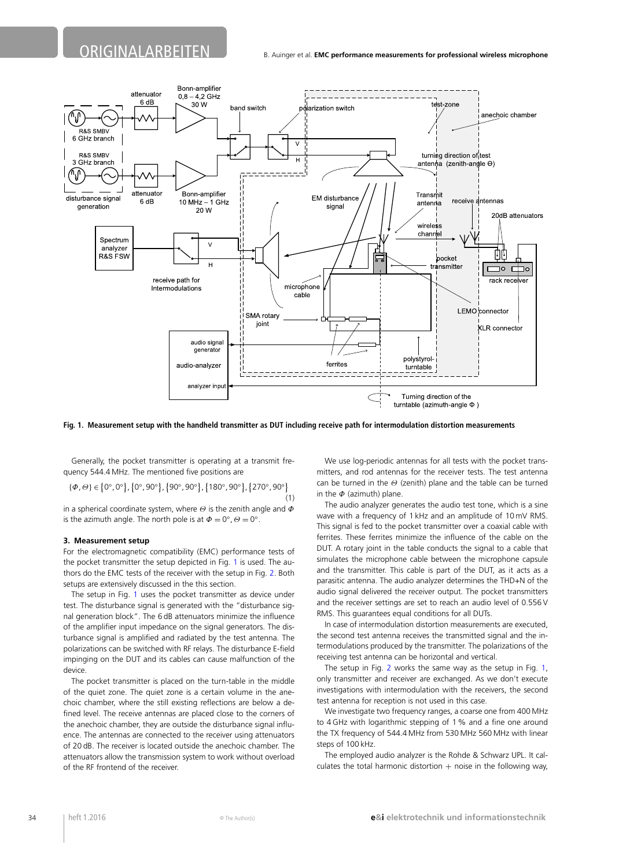

<span id="page-2-0"></span>**Fig. 1. Measurement setup with the handheld transmitter as DUT including receive path for intermodulation distortion measurements**

Generally, the pocket transmitter is operating at a transmit frequency 544.4 MHz. The mentioned five positions are

$$
\{\varPhi,\varTheta\}\in\left\{0^\circ,0^\circ\right\},\left\{0^\circ,90^\circ\right\},\left\{90^\circ,90^\circ\right\},\left\{180^\circ,90^\circ\right\},\left\{270^\circ,90^\circ\right\} \tag{1}
$$

in a spherical coordinate system, where *Θ* is the zenith angle and *Φ* is the azimuth angle. The north pole is at  $\Phi = 0^\circ$ ,  $\Theta = 0^\circ$ .

# **3. Measurement setup**

For the electromagnetic compatibility (EMC) performance tests of the pocket transmitter the setup depicted in Fig. [1](#page-2-0) is used. The authors do the EMC tests of the receiver with the setup in Fig. [2.](#page-3-0) Both setups are extensively discussed in the this section.

The setup in Fig. [1](#page-2-0) uses the pocket transmitter as device under test. The disturbance signal is generated with the "disturbance signal generation block". The 6 dB attenuators minimize the influence of the amplifier input impedance on the signal generators. The disturbance signal is amplified and radiated by the test antenna. The polarizations can be switched with RF relays. The disturbance E-field impinging on the DUT and its cables can cause malfunction of the device.

The pocket transmitter is placed on the turn-table in the middle of the quiet zone. The quiet zone is a certain volume in the anechoic chamber, where the still existing reflections are below a defined level. The receive antennas are placed close to the corners of the anechoic chamber, they are outside the disturbance signal influence. The antennas are connected to the receiver using attenuators of 20 dB. The receiver is located outside the anechoic chamber. The attenuators allow the transmission system to work without overload of the RF frontend of the receiver.

We use log-periodic antennas for all tests with the pocket transmitters, and rod antennas for the receiver tests. The test antennal can be turned in the *Θ* (zenith) plane and the table can be turned in the *Φ* (azimuth) plane.

The audio analyzer generates the audio test tone, which is a sine wave with a frequency of 1 kHz and an amplitude of 10 mV RMS. This signal is fed to the pocket transmitter over a coaxial cable with ferrites. These ferrites minimize the influence of the cable on the DUT. A rotary joint in the table conducts the signal to a cable that simulates the microphone cable between the microphone capsule and the transmitter. This cable is part of the DUT, as it acts as a parasitic antenna. The audio analyzer determines the THD+N of the audio signal delivered the receiver output. The pocket transmitters and the receiver settings are set to reach an audio level of 0.556 V RMS. This guarantees equal conditions for all DUTs.

In case of intermodulation distortion measurements are executed, the second test antenna receives the transmitted signal and the intermodulations produced by the transmitter. The polarizations of the receiving test antenna can be horizontal and vertical.

The setup in Fig. [2](#page-3-0) works the same way as the setup in Fig. [1,](#page-2-0) only transmitter and receiver are exchanged. As we don't execute investigations with intermodulation with the receivers, the second test antenna for reception is not used in this case.

We investigate two frequency ranges, a coarse one from 400 MHz to 4 GHz with logarithmic stepping of 1 % and a fine one around the TX frequency of 544.4 MHz from 530 MHz 560 MHz with linear steps of 100 kHz.

The employed audio analyzer is the Rohde & Schwarz UPL. It calculates the total harmonic distortion  $+$  noise in the following way,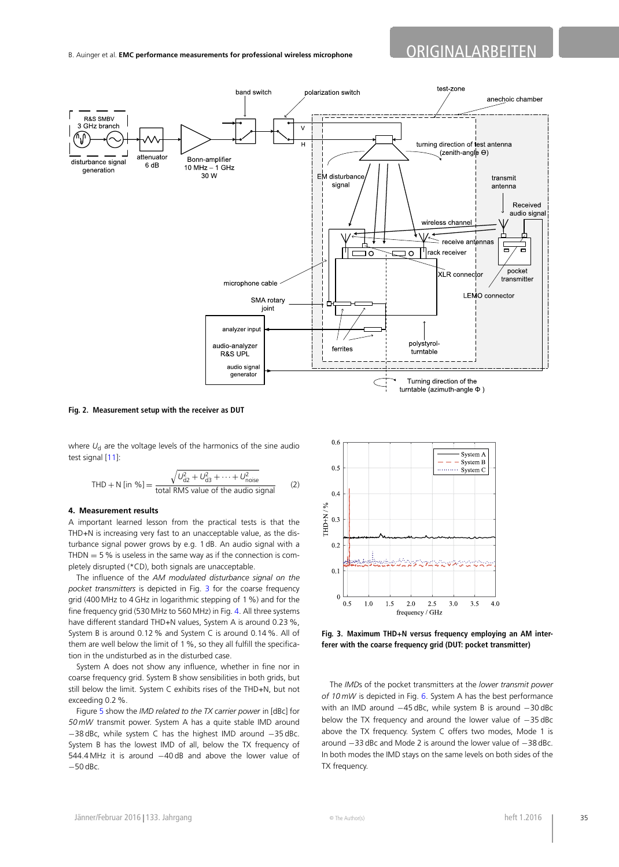

# <span id="page-3-0"></span>**Fig. 2. Measurement setup with the receiver as DUT**

where  $U_d$  are the voltage levels of the harmonics of the sine audio test signal [\[11](#page-5-9)]:

$$
\text{THD} + \text{N} \left[ \text{in } \% \right] = \frac{\sqrt{U_{d2}^2 + U_{d3}^2 + \dots + U_{\text{noise}}^2}}{\text{total RMS value of the audio signal}} \tag{2}
$$

# **4. Measurement results**

A important learned lesson from the practical tests is that the THD+N is increasing very fast to an unacceptable value, as the disturbance signal power grows by e.g. 1 dB. An audio signal with a THDN  $=$  5 % is useless in the same way as if the connection is completely disrupted (\*CD), both signals are unacceptable.

The influence of the *AM modulated disturbance signal on the pocket transmitters* is depicted in Fig. [3](#page-3-1) for the coarse frequency grid (400 MHz to 4 GHz in logarithmic stepping of 1 %) and for the fine frequency grid (530 MHz to 560 MHz) in Fig. [4.](#page-4-0) All three systems have different standard THD+N values, System A is around 0.23 %, System B is around 0.12 % and System C is around 0.14 %. All of them are well below the limit of 1 %, so they all fulfill the specification in the undisturbed as in the disturbed case.

System A does not show any influence, whether in fine nor in coarse frequency grid. System B show sensibilities in both grids, but still below the limit. System C exhibits rises of the THD+N, but not exceeding 0.2 %.

Figure [5](#page-4-1) show the *IMD related to the TX carrier power* in [dBc] for *50 mW* transmit power. System A has a quite stable IMD around −38 dBc, while system C has the highest IMD around −35 dBc. System B has the lowest IMD of all, below the TX frequency of 544.4 MHz it is around −40 dB and above the lower value of −50 dBc.



<span id="page-3-1"></span>**Fig. 3. Maximum THD+N versus frequency employing an AM interferer with the coarse frequency grid (DUT: pocket transmitter)**

The *IMD*s of the pocket transmitters at the *lower transmit power of 10 mW* is depicted in Fig. [6](#page-4-2). System A has the best performance with an IMD around −45 dBc, while system B is around −30 dBc below the TX frequency and around the lower value of −35 dBc above the TX frequency. System C offers two modes, Mode 1 is around −33 dBc and Mode 2 is around the lower value of −38 dBc. In both modes the IMD stays on the same levels on both sides of the TX frequency.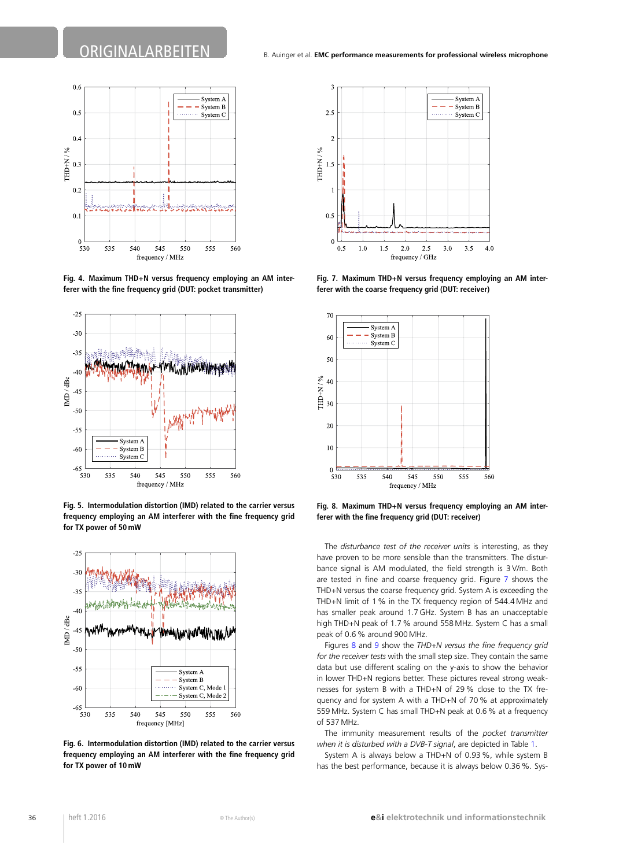

<span id="page-4-0"></span>**Fig. 4. Maximum THD+N versus frequency employing an AM interferer with the fine frequency grid (DUT: pocket transmitter)**



<span id="page-4-1"></span>**Fig. 5. Intermodulation distortion (IMD) related to the carrier versus frequency employing an AM interferer with the fine frequency grid for TX power of 50 mW**



<span id="page-4-2"></span>**Fig. 6. Intermodulation distortion (IMD) related to the carrier versus frequency employing an AM interferer with the fine frequency grid for TX power of 10 mW**



<span id="page-4-3"></span>**Fig. 7. Maximum THD+N versus frequency employing an AM interferer with the coarse frequency grid (DUT: receiver)**



<span id="page-4-4"></span>**Fig. 8. Maximum THD+N versus frequency employing an AM interferer with the fine frequency grid (DUT: receiver)**

The *disturbance test of the receiver units* is interesting, as they have proven to be more sensible than the transmitters. The disturbance signal is AM modulated, the field strength is 3 V/m. Both are tested in fine and coarse frequency grid. Figure [7](#page-4-3) shows the THD+N versus the coarse frequency grid. System A is exceeding the THD+N limit of 1 % in the TX frequency region of 544.4 MHz and has smaller peak around 1.7 GHz. System B has an unacceptable high THD+N peak of 1.7 % around 558 MHz. System C has a small peak of 0.6 % around 900 MHz.

Figures [8](#page-4-4) and [9](#page-5-10) show the *THD+N versus the fine frequency grid for the receiver tests* with the small step size. They contain the same data but use different scaling on the y-axis to show the behavior in lower THD+N regions better. These pictures reveal strong weaknesses for system B with a THD+N of 29 % close to the TX frequency and for system A with a THD+N of 70 % at approximately 559 MHz. System C has small THD+N peak at 0.6 % at a frequency of 537 MHz.

The immunity measurement results of the *pocket transmitter when it is disturbed with a DVB-T signal*, are depicted in Table [1](#page-5-11).

System A is always below a THD+N of 0.93 %, while system B has the best performance, because it is always below 0.36 %. Sys-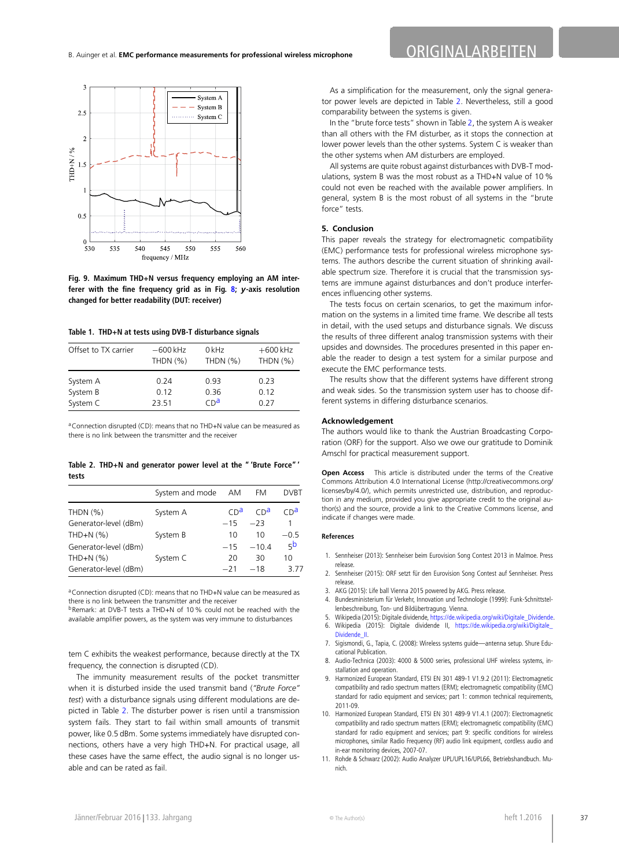

<span id="page-5-11"></span><span id="page-5-10"></span>**Fig. 9. Maximum THD+N versus frequency employing an AM interferer with the fine frequency grid as in Fig. [8;](#page-4-4)** *y***-axis resolution changed for better readability (DUT: receiver)**

<span id="page-5-12"></span>**Table 1. THD+N at tests using DVB-T disturbance signals**

| Offset to TX carrier | $-600$ kHz<br>THDN(%) | $0$ kHz<br>THDN(%) | $+600$ kHz<br>THDN $(% )$ |
|----------------------|-----------------------|--------------------|---------------------------|
| System A             | 0.24                  | 0.93               | 0.23                      |
| System B             | 0.12                  | 0.36               | 0.12                      |
| System C             | 23.51                 | CD <sup>a</sup>    | 0.27                      |

<span id="page-5-15"></span> $a^6$ Connection disrupted (CD): means that no THD+N value can be measured as there is no link between the transmitter and the receiver

**Table 2. THD+N and generator power level at the " 'Brute Force" ' tests**

<span id="page-5-14"></span><span id="page-5-13"></span>

|                       | System and mode | AM              | FM              | <b>DVBT</b>    |
|-----------------------|-----------------|-----------------|-----------------|----------------|
| THDN $(% )$           | System A        | CD <sup>d</sup> | CD <sup>d</sup> | rna            |
| Generator-level (dBm) |                 | $-15$           | $-23$           |                |
| $THD+N(%)$            | System B        | 10              | 10              | $-0.5$         |
| Generator-level (dBm) |                 | $-15$           | $-104$          | 5 <sup>b</sup> |
| THD+N $(%)$           | System C        | 20              | 30              | 10             |
| Generator-level (dBm) |                 | $-21$           | $-18$           | 3 77           |

aConnection disrupted (CD): means that no THD+N value can be measured as there is no link between the transmitter and the receiver

bRemark: at DVB-T tests a THD+N of 10 % could not be reached with the available amplifier powers, as the system was very immune to disturbances

tem C exhibits the weakest performance, because directly at the TX frequency, the connection is disrupted (CD).

The immunity measurement results of the pocket transmitter when it is disturbed inside the used transmit band (*"Brute Force" test*) with a disturbance signals using different modulations are depicted in Table [2](#page-5-15). The disturber power is risen until a transmission system fails. They start to fail within small amounts of transmit power, like 0.5 dBm. Some systems immediately have disrupted connections, others have a very high THD+N. For practical usage, all these cases have the same effect, the audio signal is no longer usable and can be rated as fail.

As a simplification for the measurement, only the signal generator power levels are depicted in Table [2.](#page-5-15) Nevertheless, still a good comparability between the systems is given.

In the "brute force tests" shown in Table [2](#page-5-15), the system A is weaker than all others with the FM disturber, as it stops the connection at lower power levels than the other systems. System C is weaker than the other systems when AM disturbers are employed.

All systems are quite robust against disturbances with DVB-T modulations, system B was the most robust as a THD+N value of 10 % could not even be reached with the available power amplifiers. In general, system B is the most robust of all systems in the "brute force" tests.

# **5. Conclusion**

This paper reveals the strategy for electromagnetic compatibility (EMC) performance tests for professional wireless microphone systems. The authors describe the current situation of shrinking available spectrum size. Therefore it is crucial that the transmission systems are immune against disturbances and don't produce interferences influencing other systems.

The tests focus on certain scenarios, to get the maximum information on the systems in a limited time frame. We describe all tests in detail, with the used setups and disturbance signals. We discuss the results of three different analog transmission systems with their upsides and downsides. The procedures presented in this paper enable the reader to design a test system for a similar purpose and execute the EMC performance tests.

The results show that the different systems have different strong and weak sides. So the transmission system user has to choose different systems in differing disturbance scenarios.

# **Acknowledgement**

The authors would like to thank the Austrian Broadcasting Corporation (ORF) for the support. Also we owe our gratitude to Dominik Amschl for practical measurement support.

<span id="page-5-1"></span><span id="page-5-0"></span>**Open Access** This article is distributed under the terms of the Creative Commons Attribution 4.0 International License (http://creativecommons.org/ licenses/by/4.0/), which permits unrestricted use, distribution, and reproduction in any medium, provided you give appropriate credit to the original author(s) and the source, provide a link to the Creative Commons license, and indicate if changes were made.

# <span id="page-5-5"></span><span id="page-5-4"></span><span id="page-5-3"></span><span id="page-5-2"></span>**References**

- 1. Sennheiser (2013): Sennheiser beim Eurovision Song Contest 2013 in Malmoe. Press release.
- <span id="page-5-7"></span><span id="page-5-6"></span>2. Sennheiser (2015): ORF setzt für den Eurovision Song Contest auf Sennheiser. Press release.
- 3. AKG (2015): Life ball Vienna 2015 powered by AKG. Press release
- 4. Bundesministerium für Verkehr, Innovation und Technologie (1999): Funk-Schnittstellenbeschreibung, Ton- und Bildübertragung. Vienna.
- 5. Wikipedia (2015): Digitale dividende, [https://de.wikipedia.org/wiki/Digitale\\_Dividende](https://de.wikipedia.org/wiki/Digitale_Dividende).
- <span id="page-5-8"></span>6. Wikipedia (2015): Digitale dividende II, [https://de.wikipedia.org/wiki/Digitale\\_](https://de.wikipedia.org/wiki/Digitale_Dividende_II) [Dividende\\_II.](https://de.wikipedia.org/wiki/Digitale_Dividende_II)
- 7. Sigismondi, G., Tapia, C. (2008): Wireless systems guide—antenna setup. Shure Educational Publication.
- <span id="page-5-9"></span>8. Audio-Technica (2003): 4000 & 5000 series, professional UHF wireless systems, installation and operation.
- 9. Harmonized European Standard, ETSI EN 301 489-1 V1.9.2 (2011): Electromagnetic compatibility and radio spectrum matters (ERM); electromagnetic compatibility (EMC) standard for radio equipment and services; part 1: common technical requirements, 2011-09.
- 10. Harmonized European Standard, ETSI EN 301 489-9 V1.4.1 (2007): Electromagnetic compatibility and radio spectrum matters (ERM); electromagnetic compatibility (EMC) standard for radio equipment and services; part 9: specific conditions for wireless microphones, similar Radio Frequency (RF) audio link equipment, cordless audio and in-ear monitoring devices, 2007-07.
- 11. Rohde & Schwarz (2002): Audio Analyzer UPL/UPL16/UPL66, Betriebshandbuch. Munich.